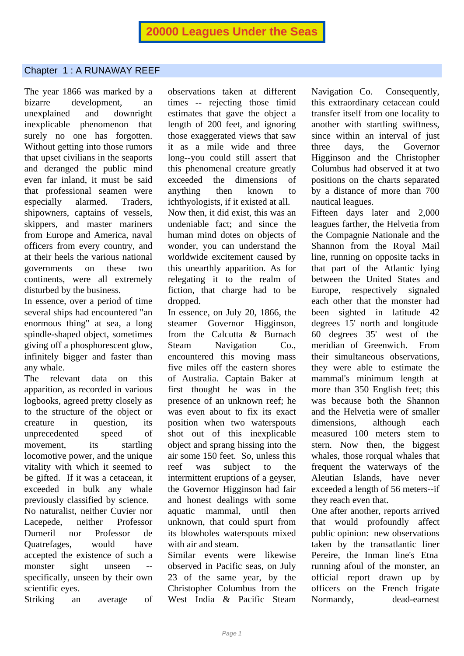## Chapter 1 : A RUNAWAY REEF

The year 1866 was marked by a bizarre development, an unexplained and downright inexplicable phenomenon that surely no one has forgotten. Without getting into those rumors that upset civilians in the seaports and deranged the public mind even far inland, it must be said that professional seamen were especially alarmed. Traders, shipowners, captains of vessels, skippers, and master mariners from Europe and America, naval officers from every country, and at their heels the various national governments on these two continents, were all extremely disturbed by the business.

In essence, over a period of time several ships had encountered "an enormous thing" at sea, a long spindle-shaped object, sometimes giving off a phosphorescent glow, infinitely bigger and faster than any whale.

The relevant data on this apparition, as recorded in various logbooks, agreed pretty closely as to the structure of the object or creature in question, its unprecedented speed of movement, its startling locomotive power, and the unique vitality with which it seemed to be gifted. If it was a cetacean, it exceeded in bulk any whale previously classified by science. No naturalist, neither Cuvier nor Lacepede, neither Professor Dumeril nor Professor de Quatrefages, would have accepted the existence of such a monster sight unseen specifically, unseen by their own scientific eyes.

Striking an average of

observations taken at different times -- rejecting those timid estimates that gave the object a length of 200 feet, and ignoring those exaggerated views that saw it as a mile wide and three long--you could still assert that this phenomenal creature greatly exceeded the dimensions of anything then known to ichthyologists, if it existed at all. Now then, it did exist, this was an undeniable fact; and since the human mind dotes on objects of wonder, you can understand the worldwide excitement caused by this unearthly apparition. As for relegating it to the realm of fiction, that charge had to be dropped.

In essence, on July 20, 1866, the steamer Governor Higginson, from the Calcutta & Burnach Steam Navigation Co., encountered this moving mass five miles off the eastern shores of Australia. Captain Baker at first thought he was in the presence of an unknown reef; he was even about to fix its exact position when two waterspouts shot out of this inexplicable object and sprang hissing into the air some 150 feet. So, unless this reef was subject to the intermittent eruptions of a geyser, the Governor Higginson had fair and honest dealings with some aquatic mammal, until then unknown, that could spurt from its blowholes waterspouts mixed with air and steam.

Similar events were likewise observed in Pacific seas, on July 23 of the same year, by the Christopher Columbus from the West India & Pacific Steam Navigation Co. Consequently, this extraordinary cetacean could transfer itself from one locality to another with startling swiftness, since within an interval of just three days, the Governor Higginson and the Christopher Columbus had observed it at two positions on the charts separated by a distance of more than 700 nautical leagues.

Fifteen days later and 2,000 leagues farther, the Helvetia from the Compagnie Nationale and the Shannon from the Royal Mail line, running on opposite tacks in that part of the Atlantic lying between the United States and Europe, respectively signaled each other that the monster had been sighted in latitude 42 degrees 15' north and longitude 60 degrees 35' west of the meridian of Greenwich. From their simultaneous observations, they were able to estimate the mammal's minimum length at more than 350 English feet; this was because both the Shannon and the Helvetia were of smaller dimensions, although each measured 100 meters stem to stern. Now then, the biggest whales, those rorqual whales that frequent the waterways of the Aleutian Islands, have never exceeded a length of 56 meters--if they reach even that.

One after another, reports arrived that would profoundly affect public opinion: new observations taken by the transatlantic liner Pereire, the Inman line's Etna running afoul of the monster, an official report drawn up by officers on the French frigate Normandy, dead-earnest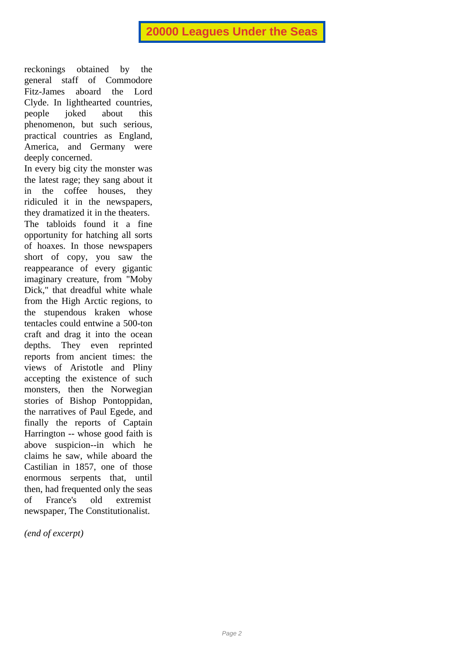reckonings obtained by the general staff of Commodore Fitz-James aboard the Lord Clyde. In lighthearted countries, people joked about this phenomenon, but such serious, practical countries as England, America, and Germany were deeply concerned.

In every big city the monster was the latest rage; they sang about it in the coffee houses, they ridiculed it in the newspapers, they dramatized it in the theaters. The tabloids found it a fine opportunity for hatching all sorts of hoaxes. In those newspapers short of copy, you saw the reappearance of every gigantic imaginary creature, from "Moby Dick," that dreadful white whale from the High Arctic regions, to the stupendous kraken whose tentacles could entwine a 500-ton craft and drag it into the ocean depths. They even reprinted reports from ancient times: the views of Aristotle and Pliny accepting the existence of such monsters, then the Norwegian stories of Bishop Pontoppidan, the narratives of Paul Egede, and finally the reports of Captain Harrington -- whose good faith is above suspicion--in which he claims he saw, while aboard the Castilian in 1857, one of those enormous serpents that, until then, had frequented only the seas of France's old extremist newspaper, The Constitutionalist.

*(end of excerpt)*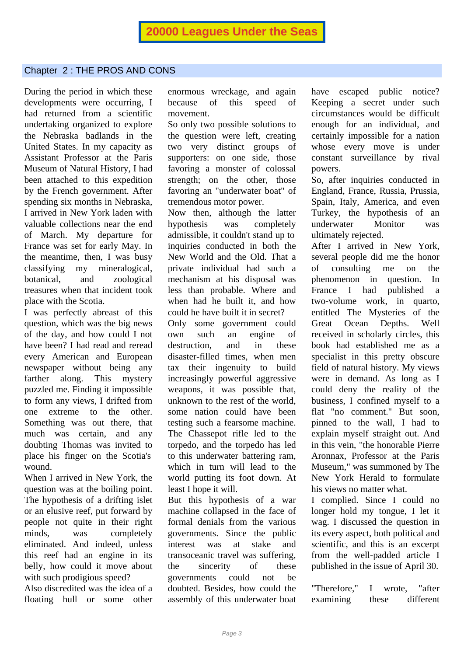## Chapter 2 : THE PROS AND CONS

During the period in which these developments were occurring, I had returned from a scientific undertaking organized to explore the Nebraska badlands in the United States. In my capacity as Assistant Professor at the Paris Museum of Natural History, I had been attached to this expedition by the French government. After spending six months in Nebraska, I arrived in New York laden with valuable collections near the end of March. My departure for France was set for early May. In the meantime, then, I was busy classifying my mineralogical, botanical, and zoological treasures when that incident took place with the Scotia.

I was perfectly abreast of this question, which was the big news of the day, and how could I not have been? I had read and reread every American and European newspaper without being any farther along. This mystery puzzled me. Finding it impossible to form any views, I drifted from one extreme to the other. Something was out there, that much was certain, and any doubting Thomas was invited to place his finger on the Scotia's wound.

When I arrived in New York, the question was at the boiling point. The hypothesis of a drifting islet or an elusive reef, put forward by people not quite in their right minds, was completely eliminated. And indeed, unless this reef had an engine in its belly, how could it move about with such prodigious speed?

Also discredited was the idea of a floating hull or some other enormous wreckage, and again because of this speed of movement.

So only two possible solutions to the question were left, creating two very distinct groups of supporters: on one side, those favoring a monster of colossal strength; on the other, those favoring an "underwater boat" of tremendous motor power.

Now then, although the latter hypothesis was completely admissible, it couldn't stand up to inquiries conducted in both the New World and the Old. That a private individual had such a mechanism at his disposal was less than probable. Where and when had he built it, and how could he have built it in secret?

Only some government could own such an engine of destruction, and in these disaster-filled times, when men tax their ingenuity to build increasingly powerful aggressive weapons, it was possible that, unknown to the rest of the world, some nation could have been testing such a fearsome machine. The Chassepot rifle led to the torpedo, and the torpedo has led to this underwater battering ram, which in turn will lead to the world putting its foot down. At least I hope it will.

But this hypothesis of a war machine collapsed in the face of formal denials from the various governments. Since the public interest was at stake and transoceanic travel was suffering, the sincerity of these governments could not be doubted. Besides, how could the assembly of this underwater boat

have escaped public notice? Keeping a secret under such circumstances would be difficult enough for an individual, and certainly impossible for a nation whose every move is under constant surveillance by rival powers.

So, after inquiries conducted in England, France, Russia, Prussia, Spain, Italy, America, and even Turkey, the hypothesis of an underwater Monitor was ultimately rejected.

After I arrived in New York, several people did me the honor of consulting me on the phenomenon in question. In France I had published a two-volume work, in quarto, entitled The Mysteries of the Great Ocean Depths. Well received in scholarly circles, this book had established me as a specialist in this pretty obscure field of natural history. My views were in demand. As long as I could deny the reality of the business, I confined myself to a flat "no comment." But soon, pinned to the wall, I had to explain myself straight out. And in this vein, "the honorable Pierre Aronnax, Professor at the Paris Museum," was summoned by The New York Herald to formulate his views no matter what.

I complied. Since I could no longer hold my tongue, I let it wag. I discussed the question in its every aspect, both political and scientific, and this is an excerpt from the well-padded article I published in the issue of April 30.

"Therefore," I wrote, "after examining these different